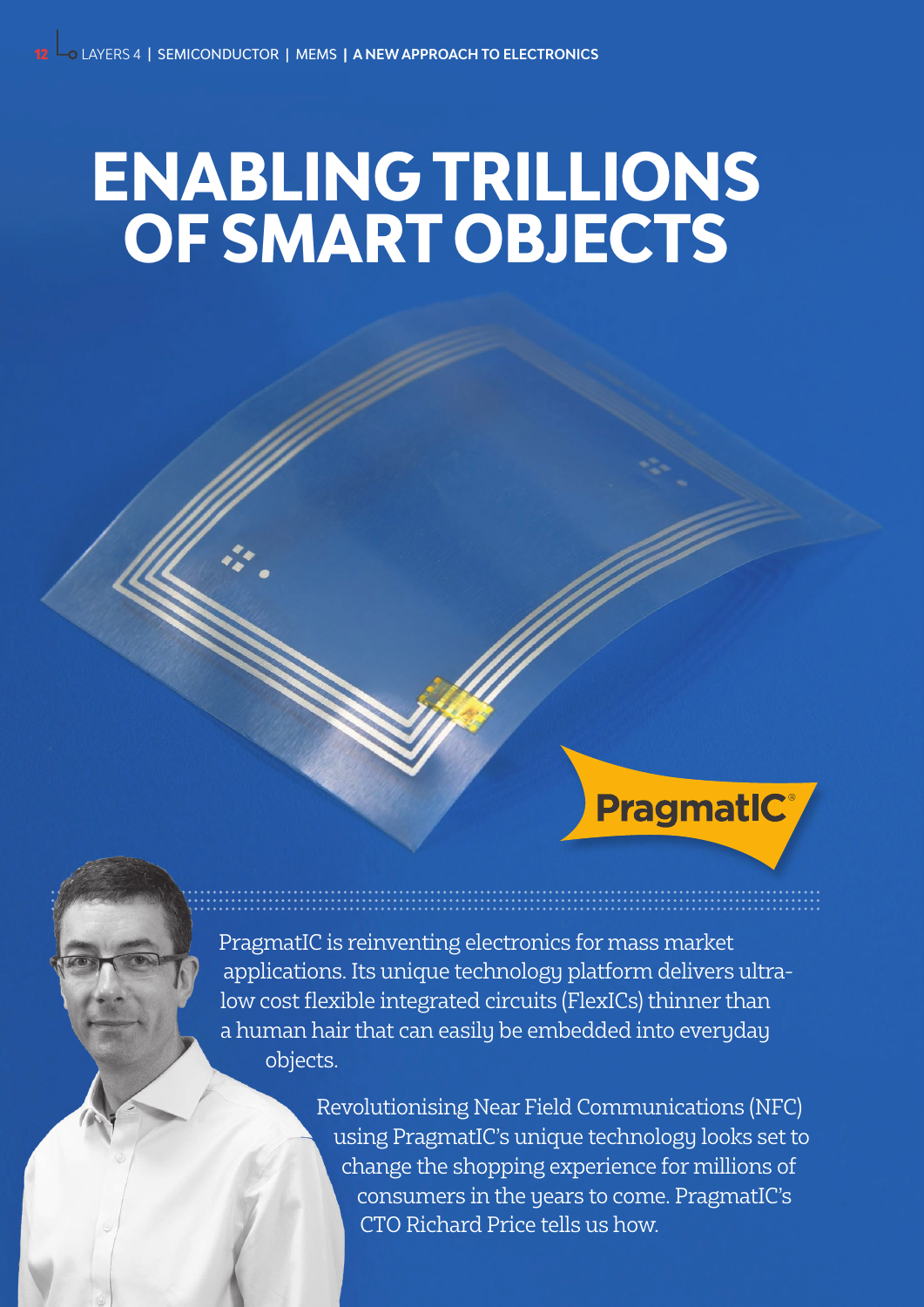# **ENABLING TRILLIONS OF SMART OBJECTS**

**PragmatIC®** 

PragmatIC is reinventing electronics for mass market applications. Its unique technology platform delivers ultralow cost flexible integrated circuits (FlexICs) thinner than a human hair that can easily be embedded into everyday objects.

> Revolutionising Near Field Communications (NFC) using PragmatIC's unique technology looks set to change the shopping experience for millions of consumers in the years to come. PragmatIC's CTO Richard Price tells us how.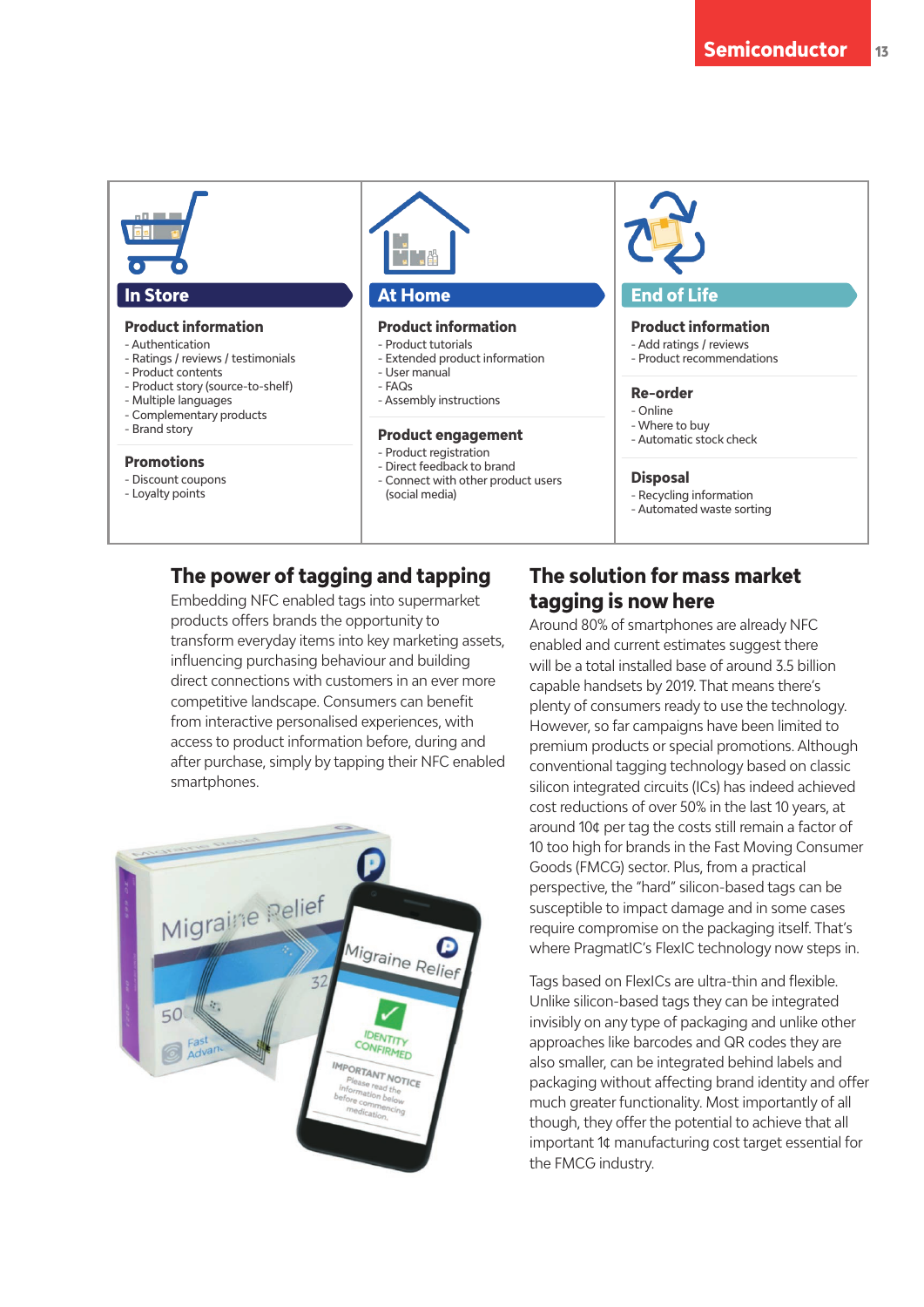

## **The power of tagging and tapping**

Embedding NFC enabled tags into supermarket products offers brands the opportunity to transform everyday items into key marketing assets, influencing purchasing behaviour and building direct connections with customers in an ever more competitive landscape. Consumers can benefit from interactive personalised experiences, with access to product information before, during and after purchase, simply by tapping their NFC enabled smartphones.



## **The solution for mass market tagging is now here**

Around 80% of smartphones are already NFC enabled and current estimates suggest there will be a total installed base of around 3.5 billion capable handsets by 2019. That means there's plenty of consumers ready to use the technology. However, so far campaigns have been limited to premium products or special promotions. Although conventional tagging technology based on classic silicon integrated circuits (ICs) has indeed achieved cost reductions of over 50% in the last 10 years, at around 10¢ per tag the costs still remain a factor of 10 too high for brands in the Fast Moving Consumer Goods (FMCG) sector. Plus, from a practical perspective, the "hard" silicon-based tags can be susceptible to impact damage and in some cases require compromise on the packaging itself. That's where PragmatIC's FlexIC technology now steps in.

Tags based on FlexICs are ultra-thin and flexible. Unlike silicon-based tags they can be integrated invisibly on any type of packaging and unlike other approaches like barcodes and QR codes they are also smaller, can be integrated behind labels and packaging without affecting brand identity and offer much greater functionality. Most importantly of all though, they offer the potential to achieve that all important 1¢ manufacturing cost target essential for the FMCG industry.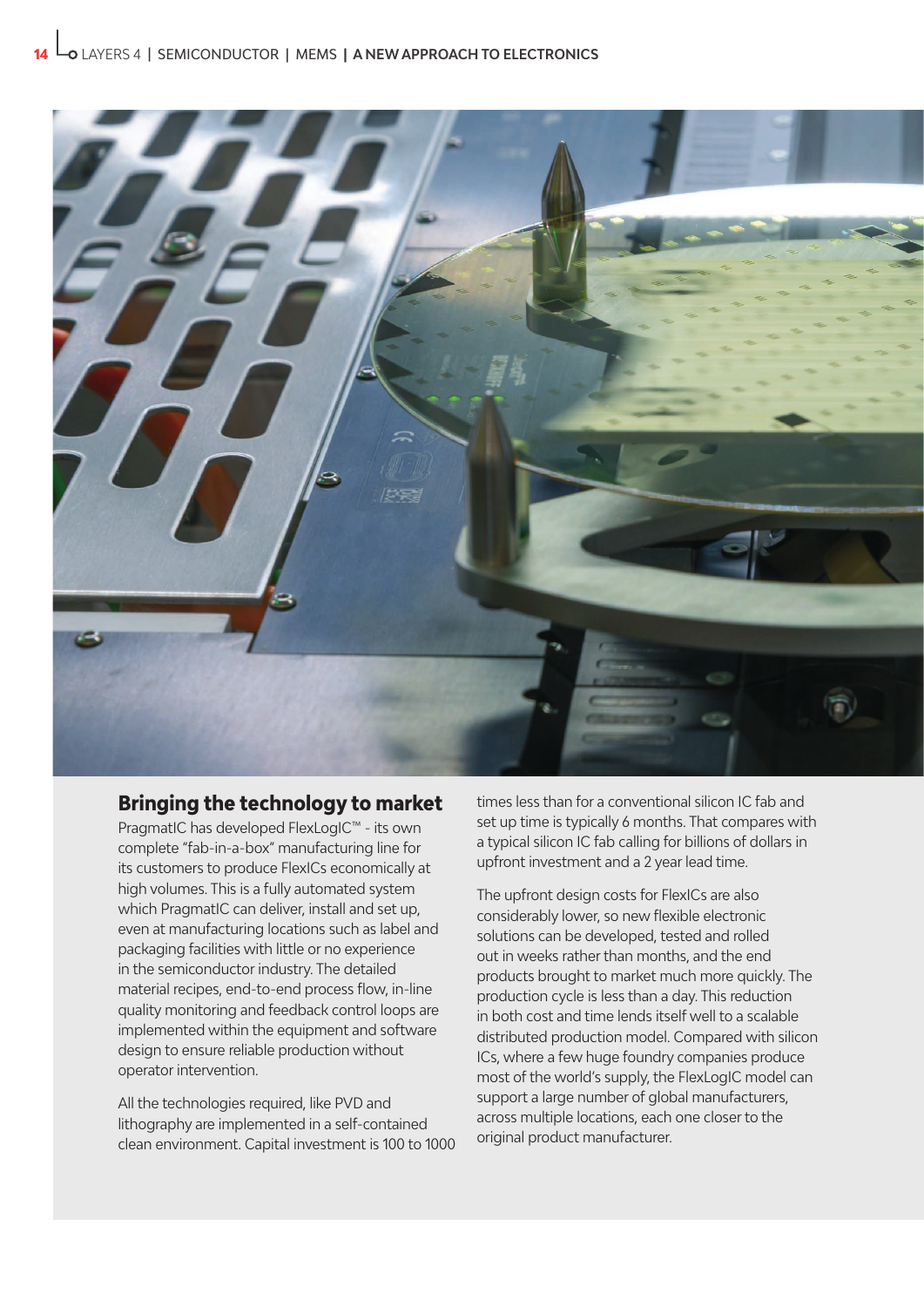

### **Bringing the technology to market**

PragmatIC has developed FlexLogIC™ - its own complete "fab-in-a-box" manufacturing line for its customers to produce FlexICs economically at high volumes. This is a fully automated system which PragmatIC can deliver, install and set up, even at manufacturing locations such as label and packaging facilities with little or no experience in the semiconductor industry. The detailed material recipes, end-to-end process flow, in-line quality monitoring and feedback control loops are implemented within the equipment and software design to ensure reliable production without operator intervention.

All the technologies required, like PVD and lithography are implemented in a self-contained clean environment. Capital investment is 100 to 1000 times less than for a conventional silicon IC fab and set up time is typically 6 months. That compares with a typical silicon IC fab calling for billions of dollars in upfront investment and a 2 year lead time.

The upfront design costs for FlexICs are also considerably lower, so new flexible electronic solutions can be developed, tested and rolled out in weeks rather than months, and the end products brought to market much more quickly. The production cycle is less than a day. This reduction in both cost and time lends itself well to a scalable distributed production model. Compared with silicon ICs, where a few huge foundry companies produce most of the world's supply, the FlexLogIC model can support a large number of global manufacturers, across multiple locations, each one closer to the original product manufacturer.